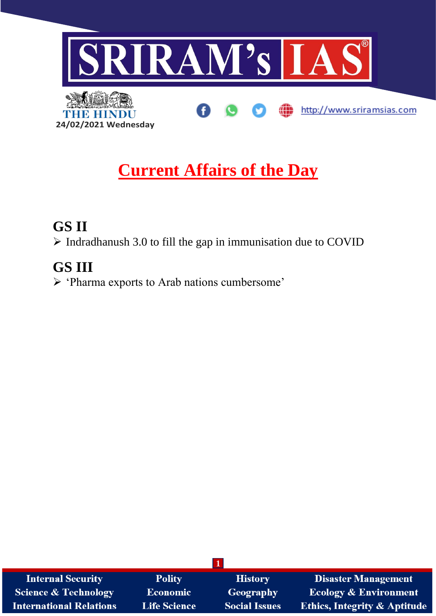

# **Current Affairs of the Day**

### **GS II**

➢ Indradhanush 3.0 to fill the gap in immunisation due to COVID

## **GS III**

➢ 'Pharma exports to Arab nations cumbersome'

| <b>Internal Security</b>       | <b>Polity</b>       | <b>History</b>       | <b>Disaster Management</b>              |
|--------------------------------|---------------------|----------------------|-----------------------------------------|
| Science & Technology           | <b>Economic</b>     | Geography            | <b>Ecology &amp; Environment</b>        |
| <b>International Relations</b> | <b>Life Science</b> | <b>Social Issues</b> | <b>Ethics, Integrity &amp; Aptitude</b> |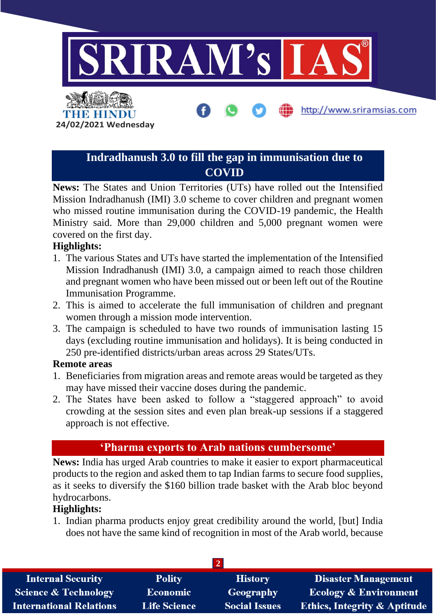

### **Indradhanush 3.0 to fill the gap in immunisation due to COVID**

**News:** The States and Union Territories (UTs) have rolled out the Intensified Mission Indradhanush (IMI) 3.0 scheme to cover children and pregnant women who missed routine immunisation during the COVID-19 pandemic, the Health Ministry said. More than 29,000 children and 5,000 pregnant women were covered on the first day.

#### **Highlights:**

- 1. The various States and UTs have started the implementation of the Intensified Mission Indradhanush (IMI) 3.0, a campaign aimed to reach those children and pregnant women who have been missed out or been left out of the Routine Immunisation Programme.
- 2. This is aimed to accelerate the full immunisation of children and pregnant women through a mission mode intervention.
- 3. The campaign is scheduled to have two rounds of immunisation lasting 15 days (excluding routine immunisation and holidays). It is being conducted in 250 pre-identified districts/urban areas across 29 States/UTs.

#### **Remote areas**

- 1. Beneficiaries from migration areas and remote areas would be targeted as they may have missed their vaccine doses during the pandemic.
- 2. The States have been asked to follow a "staggered approach" to avoid crowding at the session sites and even plan break-up sessions if a staggered approach is not effective.

#### **'Pharma exports to Arab nations cumbersome'**

**News:** India has urged Arab countries to make it easier to export pharmaceutical products to the region and asked them to tap Indian farms to secure food supplies, as it seeks to diversify the \$160 billion trade basket with the Arab bloc beyond hydrocarbons.

#### **Highlights:**

1. Indian pharma products enjoy great credibility around the world, [but] India does not have the same kind of recognition in most of the Arab world, because

| <b>Internal Security</b>       | <b>Polity</b>       | <b>History</b>       | <b>Disaster Management</b>              |  |  |  |
|--------------------------------|---------------------|----------------------|-----------------------------------------|--|--|--|
| Science & Technology           | <b>Economic</b>     | <b>Geography</b>     | <b>Ecology &amp; Environment</b>        |  |  |  |
| <b>International Relations</b> | <b>Life Science</b> | <b>Social Issues</b> | <b>Ethics, Integrity &amp; Aptitude</b> |  |  |  |